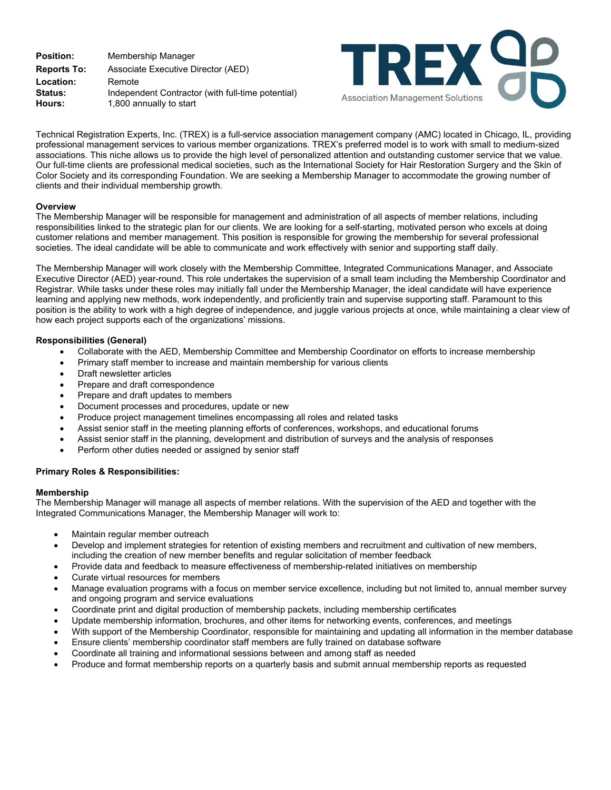**Position:** Membership Manager **Reports To:** Associate Executive Director (AED) **Location:** Remote<br> **Status:** Indepen **Status:** Independent Contractor (with full-time potential)<br>**Hours:** 1.800 annually to start 1,800 annually to start



Technical Registration Experts, Inc. (TREX) is a full-service association management company (AMC) located in Chicago, IL, providing professional management services to various member organizations. TREX's preferred model is to work with small to medium-sized associations. This niche allows us to provide the high level of personalized attention and outstanding customer service that we value. Our full-time clients are professional medical societies, such as the International Society for Hair Restoration Surgery and the Skin of Color Society and its corresponding Foundation. We are seeking a Membership Manager to accommodate the growing number of clients and their individual membership growth.

# **Overview**

The Membership Manager will be responsible for management and administration of all aspects of member relations, including responsibilities linked to the strategic plan for our clients. We are looking for a self-starting, motivated person who excels at doing customer relations and member management. This position is responsible for growing the membership for several professional societies. The ideal candidate will be able to communicate and work effectively with senior and supporting staff daily.

The Membership Manager will work closely with the Membership Committee, Integrated Communications Manager, and Associate Executive Director (AED) year-round. This role undertakes the supervision of a small team including the Membership Coordinator and Registrar. While tasks under these roles may initially fall under the Membership Manager, the ideal candidate will have experience learning and applying new methods, work independently, and proficiently train and supervise supporting staff. Paramount to this position is the ability to work with a high degree of independence, and juggle various projects at once, while maintaining a clear view of how each project supports each of the organizations' missions.

## **Responsibilities (General)**

- Collaborate with the AED, Membership Committee and Membership Coordinator on efforts to increase membership
- Primary staff member to increase and maintain membership for various clients
- Draft newsletter articles
- Prepare and draft correspondence
- Prepare and draft updates to members
- Document processes and procedures, update or new
- Produce project management timelines encompassing all roles and related tasks
- Assist senior staff in the meeting planning efforts of conferences, workshops, and educational forums
- Assist senior staff in the planning, development and distribution of surveys and the analysis of responses
- Perform other duties needed or assigned by senior staff

# **Primary Roles & Responsibilities:**

### **Membership**

The Membership Manager will manage all aspects of member relations. With the supervision of the AED and together with the Integrated Communications Manager, the Membership Manager will work to:

- Maintain regular member outreach
- Develop and implement strategies for retention of existing members and recruitment and cultivation of new members, including the creation of new member benefits and regular solicitation of member feedback
- Provide data and feedback to measure effectiveness of membership-related initiatives on membership
- Curate virtual resources for members
- Manage evaluation programs with a focus on member service excellence, including but not limited to, annual member survey and ongoing program and service evaluations
- Coordinate print and digital production of membership packets, including membership certificates
- Update membership information, brochures, and other items for networking events, conferences, and meetings
- With support of the Membership Coordinator, responsible for maintaining and updating all information in the member database
- Ensure clients' membership coordinator staff members are fully trained on database software
- Coordinate all training and informational sessions between and among staff as needed
- Produce and format membership reports on a quarterly basis and submit annual membership reports as requested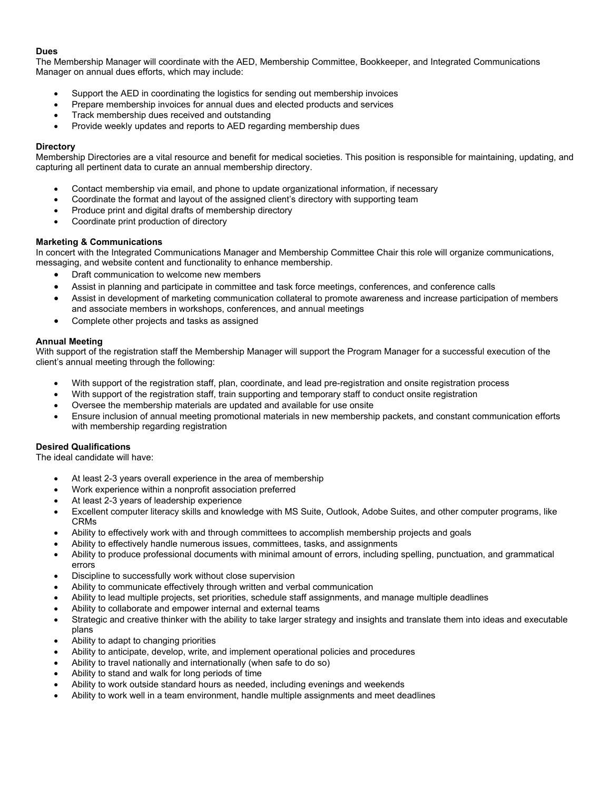## **Dues**

The Membership Manager will coordinate with the AED, Membership Committee, Bookkeeper, and Integrated Communications Manager on annual dues efforts, which may include:

- Support the AED in coordinating the logistics for sending out membership invoices
- Prepare membership invoices for annual dues and elected products and services
- Track membership dues received and outstanding
- Provide weekly updates and reports to AED regarding membership dues

### **Directory**

Membership Directories are a vital resource and benefit for medical societies. This position is responsible for maintaining, updating, and capturing all pertinent data to curate an annual membership directory.

- Contact membership via email, and phone to update organizational information, if necessary
- Coordinate the format and layout of the assigned client's directory with supporting team
- Produce print and digital drafts of membership directory
- Coordinate print production of directory

## **Marketing & Communications**

In concert with the Integrated Communications Manager and Membership Committee Chair this role will organize communications, messaging, and website content and functionality to enhance membership.

- Draft communication to welcome new members
- Assist in planning and participate in committee and task force meetings, conferences, and conference calls
- Assist in development of marketing communication collateral to promote awareness and increase participation of members and associate members in workshops, conferences, and annual meetings
- Complete other projects and tasks as assigned

### **Annual Meeting**

With support of the registration staff the Membership Manager will support the Program Manager for a successful execution of the client's annual meeting through the following:

- With support of the registration staff, plan, coordinate, and lead pre-registration and onsite registration process
- With support of the registration staff, train supporting and temporary staff to conduct onsite registration
- Oversee the membership materials are updated and available for use onsite
- Ensure inclusion of annual meeting promotional materials in new membership packets, and constant communication efforts with membership regarding registration

# **Desired Qualifications**

The ideal candidate will have:

- At least 2-3 years overall experience in the area of membership
- Work experience within a nonprofit association preferred
- At least 2-3 years of leadership experience
- Excellent computer literacy skills and knowledge with MS Suite, Outlook, Adobe Suites, and other computer programs, like CRMs
- Ability to effectively work with and through committees to accomplish membership projects and goals
- Ability to effectively handle numerous issues, committees, tasks, and assignments
- Ability to produce professional documents with minimal amount of errors, including spelling, punctuation, and grammatical errors
- Discipline to successfully work without close supervision
- Ability to communicate effectively through written and verbal communication
- Ability to lead multiple projects, set priorities, schedule staff assignments, and manage multiple deadlines
- Ability to collaborate and empower internal and external teams
- Strategic and creative thinker with the ability to take larger strategy and insights and translate them into ideas and executable plans
- Ability to adapt to changing priorities
- Ability to anticipate, develop, write, and implement operational policies and procedures
- Ability to travel nationally and internationally (when safe to do so)
- Ability to stand and walk for long periods of time
- Ability to work outside standard hours as needed, including evenings and weekends
- Ability to work well in a team environment, handle multiple assignments and meet deadlines